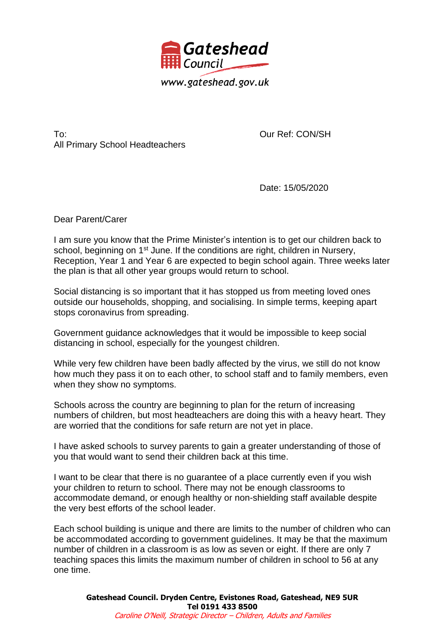

To: All Primary School Headteachers Our Ref: CON/SH

Date: 15/05/2020

Dear Parent/Carer

I am sure you know that the Prime Minister's intention is to get our children back to school, beginning on 1<sup>st</sup> June. If the conditions are right, children in Nursery, Reception, Year 1 and Year 6 are expected to begin school again. Three weeks later the plan is that all other year groups would return to school.

Social distancing is so important that it has stopped us from meeting loved ones outside our households, shopping, and socialising. In simple terms, keeping apart stops coronavirus from spreading.

Government guidance acknowledges that it would be impossible to keep social distancing in school, especially for the youngest children.

While very few children have been badly affected by the virus, we still do not know how much they pass it on to each other, to school staff and to family members, even when they show no symptoms.

Schools across the country are beginning to plan for the return of increasing numbers of children, but most headteachers are doing this with a heavy heart. They are worried that the conditions for safe return are not yet in place.

I have asked schools to survey parents to gain a greater understanding of those of you that would want to send their children back at this time.

I want to be clear that there is no guarantee of a place currently even if you wish your children to return to school. There may not be enough classrooms to accommodate demand, or enough healthy or non-shielding staff available despite the very best efforts of the school leader.

Each school building is unique and there are limits to the number of children who can be accommodated according to government guidelines. It may be that the maximum number of children in a classroom is as low as seven or eight. If there are only 7 teaching spaces this limits the maximum number of children in school to 56 at any one time.